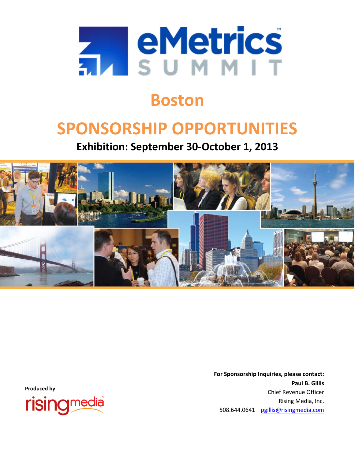

# **Boston**

# **SPONSORSHIP OPPORTUNITIES**

**Exhibition: September 30‐October 1, 2013**



 **For Sponsorship Inquiries, please contact: Paul B. Gillis** Chief Revenue Officer Rising Media, Inc. 508.644.0641 | pgillis@risingmedia.com

**Produced by**

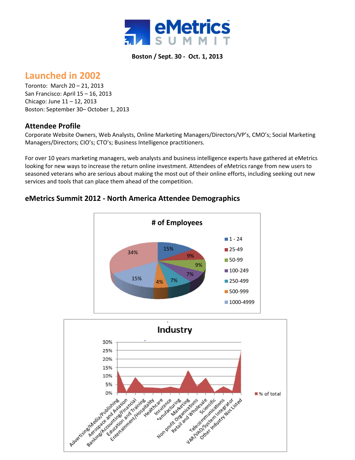

### **Launched in 2002**

Toronto: March 20 – 21, 2013 San Francisco: April 15 – 16, 2013 Chicago: June 11 – 12, 2013 Boston: September 30– October 1, 2013

### **Attendee Profile**

Corporate Website Owners, Web Analysts, Online Marketing Managers/Directors/VP's, CMO's; Social Marketing Managers/Directors; CIO's; CTO's; Business Intelligence practitioners.

For over 10 years marketing managers, web analysts and business intelligence experts have gathered at eMetrics looking for new ways to increase the return online investment. Attendees of eMetrics range from new users to seasoned veterans who are serious about making the most out of their online efforts, including seeking out new services and tools that can place them ahead of the competition.



### **eMetrics Summit 2012 ‐ North America Attendee Demographics**

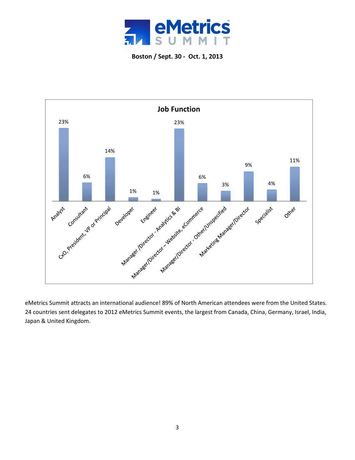



eMetrics Summit attracts an international audience! 89% of North American attendees were from the United States. 24 countries sent delegates to 2012 eMetrics Summit events, the largest from Canada, China, Germany, Israel, India, Japan & United Kingdom.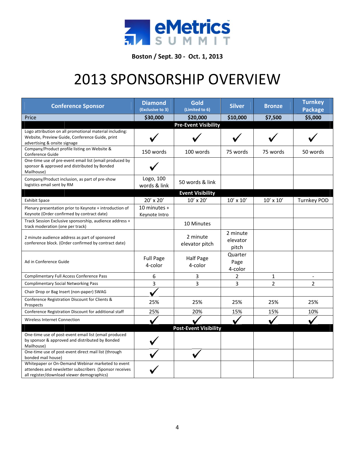

# 2013 SPONSORSHIP OVERVIEW

| <b>Conference Sponsor</b>                                                                                                                                 | <b>Diamond</b><br>(Exclusive to 3) | Gold<br>(Limited to 6)       | <b>Silver</b>                 | <b>Bronze</b>  | <b>Turnkey</b><br><b>Package</b> |
|-----------------------------------------------------------------------------------------------------------------------------------------------------------|------------------------------------|------------------------------|-------------------------------|----------------|----------------------------------|
| Price                                                                                                                                                     | \$30,000                           | \$20,000                     | \$10,000                      | \$7,500        | \$5,000                          |
|                                                                                                                                                           |                                    | <b>Pre-Event Visibility</b>  |                               |                |                                  |
| Logo attribution on all promotional material including:<br>Website, Preview Guide, Conference Guide, print<br>advertising & onsite signage                |                                    |                              |                               |                |                                  |
| Company/Product profile listing on Website &<br>Conference Guide                                                                                          | 150 words                          | 100 words                    | 75 words                      | 75 words       | 50 words                         |
| One-time use of pre-event email list (email produced by<br>sponsor & approved and distributed by Bonded<br>Mailhouse)                                     |                                    |                              |                               |                |                                  |
| Company/Product inclusion, as part of pre-show<br>logistics email sent by RM                                                                              | Logo, 100<br>words & link          | 50 words & link              |                               |                |                                  |
|                                                                                                                                                           |                                    | <b>Event Visibility</b>      |                               |                |                                  |
| <b>Exhibit Space</b>                                                                                                                                      | 20' x 20'                          | $10'$ x $20'$                | $10'$ x $10'$                 | $10'$ x $10'$  | <b>Turnkey POD</b>               |
| Plenary presentation prior to Keynote + introduction of<br>Keynote (Order confirmed by contract date)                                                     | 10 minutes $+$<br>Keynote Intro    |                              |                               |                |                                  |
| Track Session Exclusive sponsorship, audience address +<br>track moderation (one per track)                                                               |                                    | 10 Minutes                   |                               |                |                                  |
| 2 minute audience address as part of sponsored<br>conference block. (Order confirmed by contract date)                                                    |                                    | 2 minute<br>elevator pitch   | 2 minute<br>elevator<br>pitch |                |                                  |
| Ad in Conference Guide                                                                                                                                    | <b>Full Page</b><br>4-color        | <b>Half Page</b><br>4-color  | Quarter<br>Page<br>4-color    |                |                                  |
| <b>Complimentary Full Access Conference Pass</b>                                                                                                          | 6                                  | 3                            | $\overline{2}$                | 1              |                                  |
| <b>Complimentary Social Networking Pass</b>                                                                                                               | 3                                  | 3                            | 3                             | $\overline{2}$ | 2                                |
| Chair Drop or Bag Insert (non-paper) SWAG                                                                                                                 |                                    |                              |                               |                |                                  |
| Conference Registration Discount for Clients &<br>Prospects                                                                                               | 25%                                | 25%                          | 25%                           | 25%            | 25%                              |
| Conference Registration Discount for additional staff                                                                                                     | 25%                                | 20%                          | 15%                           | 15%            | 10%                              |
| Wireless Internet Connection                                                                                                                              |                                    |                              |                               |                |                                  |
|                                                                                                                                                           |                                    | <b>Post-Event Visibility</b> |                               |                |                                  |
| One-time use of post-event email list (email produced<br>by sponsor & approved and distributed by Bonded<br>Mailhouse)                                    |                                    |                              |                               |                |                                  |
| One-time use of post-event direct mail list (through<br>bonded mail house)                                                                                |                                    |                              |                               |                |                                  |
| Whitepaper or On-Demand Webinar marketed to event<br>attendees and newsletter subscribers (Sponsor receives<br>all register/download viewer demographics) |                                    |                              |                               |                |                                  |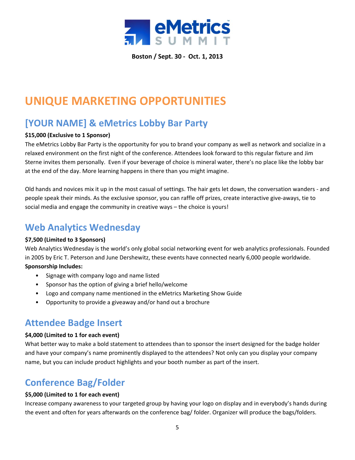

# **UNIQUE MARKETING OPPORTUNITIES**

# **[YOUR NAME] & eMetrics Lobby Bar Party**

### **\$15,000 (Exclusive to 1 Sponsor)**

The eMetrics Lobby Bar Party is the opportunity for you to brand your company as well as network and socialize in a relaxed environment on the first night of the conference. Attendees look forward to this regular fixture and Jim Sterne invites them personally. Even if your beverage of choice is mineral water, there's no place like the lobby bar at the end of the day. More learning happens in there than you might imagine.

Old hands and novices mix it up in the most casual of settings. The hair gets let down, the conversation wanders ‐ and people speak their minds. As the exclusive sponsor, you can raffle off prizes, create interactive give-aways, tie to social media and engage the community in creative ways – the choice is yours!

### **Web Analytics Wednesday**

### **\$7,500 (Limited to 3 Sponsors)**

Web Analytics Wednesday is the world's only global social networking event for web analytics professionals. Founded in 2005 by Eric T. Peterson and June Dershewitz, these events have connected nearly 6,000 people worldwide.

### **Sponsorship Includes:**

- Signage with company logo and name listed
- Sponsor has the option of giving a brief hello/welcome
- Logo and company name mentioned in the eMetrics Marketing Show Guide
- Opportunity to provide a giveaway and/or hand out a brochure

### **Attendee Badge Insert**

### **\$4,000 (Limited to 1 for each event)**

What better way to make a bold statement to attendees than to sponsor the insert designed for the badge holder and have your company's name prominently displayed to the attendees? Not only can you display your company name, but you can include product highlights and your booth number as part of the insert.

# **Conference Bag/Folder**

### **\$5,000 (Limited to 1 for each event)**

Increase company awareness to your targeted group by having your logo on display and in everybody's hands during the event and often for years afterwards on the conference bag/ folder. Organizer will produce the bags/folders.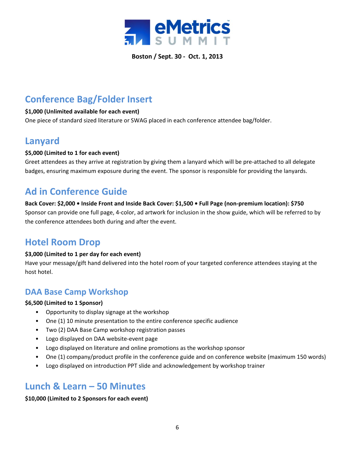

# **Conference Bag/Folder Insert**

### **\$1,000 (Unlimited available for each event)**

One piece of standard sized literature or SWAG placed in each conference attendee bag/folder.

### **Lanyard**

### **\$5,000 (Limited to 1 for each event)**

Greet attendees as they arrive at registration by giving them a lanyard which will be pre‐attached to all delegate badges, ensuring maximum exposure during the event. The sponsor is responsible for providing the lanyards.

# **Ad in Conference Guide**

Back Cover: \$2,000 · Inside Front and Inside Back Cover: \$1,500 · Full Page (non-premium location): \$750 Sponsor can provide one full page, 4‐color, ad artwork for inclusion in the show guide, which will be referred to by the conference attendees both during and after the event.

# **Hotel Room Drop**

### **\$3,000 (Limited to 1 per day for each event)**

Have your message/gift hand delivered into the hotel room of your targeted conference attendees staying at the host hotel.

### **DAA Base Camp Workshop**

### **\$6,500 (Limited to 1 Sponsor)**

- Opportunity to display signage at the workshop
- One (1) 10 minute presentation to the entire conference specific audience
- Two (2) DAA Base Camp workshop registration passes
- Logo displayed on DAA website‐event page
- Logo displayed on literature and online promotions as the workshop sponsor
- One (1) company/product profile in the conference guide and on conference website (maximum 150 words)
- Logo displayed on introduction PPT slide and acknowledgement by workshop trainer

### **Lunch & Learn – 50 Minutes**

### **\$10,000 (Limited to 2 Sponsors for each event)**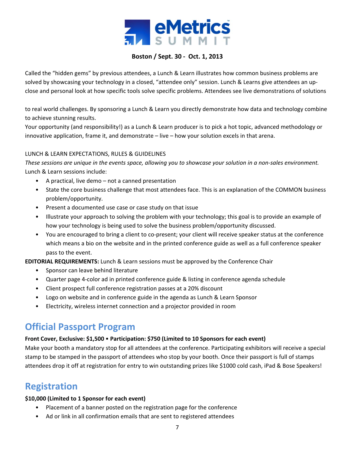

Called the "hidden gems" by previous attendees, a Lunch & Learn illustrates how common business problems are solved by showcasing your technology in a closed, "attendee only" session. Lunch & Learns give attendees an upclose and personal look at how specific tools solve specific problems. Attendees see live demonstrations of solutions

to real world challenges. By sponsoring a Lunch & Learn you directly demonstrate how data and technology combine to achieve stunning results.

Your opportunity (and responsibility!) as a Lunch & Learn producer is to pick a hot topic, advanced methodology or innovative application, frame it, and demonstrate – live – how your solution excels in that arena.

### LUNCH & LEARN EXPECTATIONS, RULES & GUIDELINES

These sessions are unique in the events space, allowing you to showcase your solution in a non-sales environment. Lunch & Learn sessions include:

- A practical, live demo not a canned presentation
- State the core business challenge that most attendees face. This is an explanation of the COMMON business problem/opportunity.
- Present a documented use case or case study on that issue
- Illustrate your approach to solving the problem with your technology; this goal is to provide an example of how your technology is being used to solve the business problem/opportunity discussed.
- You are encouraged to bring a client to co-present; your client will receive speaker status at the conference which means a bio on the website and in the printed conference guide as well as a full conference speaker pass to the event.

**EDITORIAL REQUIREMENTS:** Lunch & Learn sessions must be approved by the Conference Chair

- Sponsor can leave behind literature
- Quarter page 4-color ad in printed conference guide & listing in conference agenda schedule
- Client prospect full conference registration passes at a 20% discount
- Logo on website and in conference guide in the agenda as Lunch & Learn Sponsor
- Electricity, wireless internet connection and a projector provided in room

# **Official Passport Program**

### **Front Cover, Exclusive: \$1,500** • **Participation: \$750 (Limited to 10 Sponsors for each event)**

Make your booth a mandatory stop for all attendees at the conference. Participating exhibitors will receive a special stamp to be stamped in the passport of attendees who stop by your booth. Once their passport is full of stamps attendees drop it off at registration for entry to win outstanding prizes like \$1000 cold cash, iPad & Bose Speakers!

### **Registration**

### **\$10,000 (Limited to 1 Sponsor for each event)**

- Placement of a banner posted on the registration page for the conference
- Ad or link in all confirmation emails that are sent to registered attendees